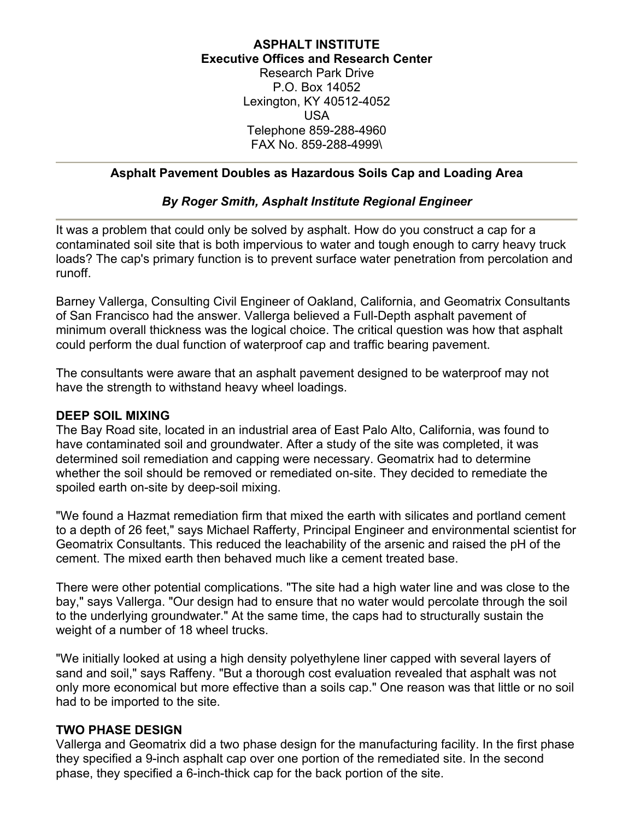## **ASPHALT INSTITUTE Executive Offices and Research Center** Research Park Drive P.O. Box 14052 Lexington, KY 40512-4052 USA Telephone 859-288-4960 FAX No. 859-288-4999\

## **Asphalt Pavement Doubles as Hazardous Soils Cap and Loading Area**

## *By Roger Smith, Asphalt Institute Regional Engineer*

It was a problem that could only be solved by asphalt. How do you construct a cap for a contaminated soil site that is both impervious to water and tough enough to carry heavy truck loads? The cap's primary function is to prevent surface water penetration from percolation and runoff.

Barney Vallerga, Consulting Civil Engineer of Oakland, California, and Geomatrix Consultants of San Francisco had the answer. Vallerga believed a Full-Depth asphalt pavement of minimum overall thickness was the logical choice. The critical question was how that asphalt could perform the dual function of waterproof cap and traffic bearing pavement.

The consultants were aware that an asphalt pavement designed to be waterproof may not have the strength to withstand heavy wheel loadings.

### **DEEP SOIL MIXING**

The Bay Road site, located in an industrial area of East Palo Alto, California, was found to have contaminated soil and groundwater. After a study of the site was completed, it was determined soil remediation and capping were necessary. Geomatrix had to determine whether the soil should be removed or remediated on-site. They decided to remediate the spoiled earth on-site by deep-soil mixing.

"We found a Hazmat remediation firm that mixed the earth with silicates and portland cement to a depth of 26 feet," says Michael Rafferty, Principal Engineer and environmental scientist for Geomatrix Consultants. This reduced the leachability of the arsenic and raised the pH of the cement. The mixed earth then behaved much like a cement treated base.

There were other potential complications. "The site had a high water line and was close to the bay," says Vallerga. "Our design had to ensure that no water would percolate through the soil to the underlying groundwater." At the same time, the caps had to structurally sustain the weight of a number of 18 wheel trucks.

"We initially looked at using a high density polyethylene liner capped with several layers of sand and soil," says Raffeny. "But a thorough cost evaluation revealed that asphalt was not only more economical but more effective than a soils cap." One reason was that little or no soil had to be imported to the site.

#### **TWO PHASE DESIGN**

Vallerga and Geomatrix did a two phase design for the manufacturing facility. In the first phase they specified a 9-inch asphalt cap over one portion of the remediated site. In the second phase, they specified a 6-inch-thick cap for the back portion of the site.